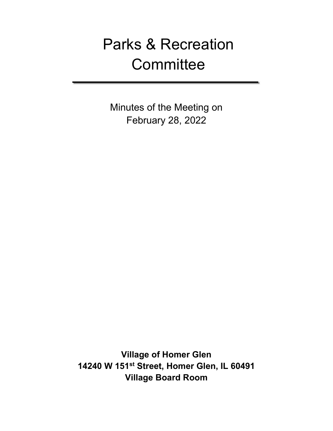# Parks & Recreation **Committee**

Minutes of the Meeting on February 28, 2022

**Village of Homer Glen 14240 W 151st Street, Homer Glen, IL 60491 Village Board Room**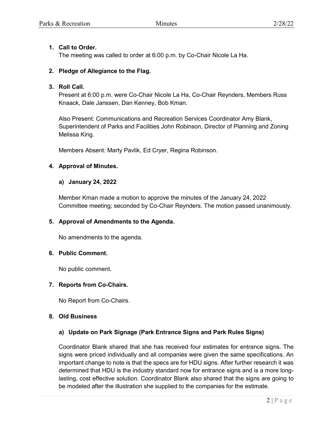## **1. Call to Order.**

The meeting was called to order at 6:00 p.m. by Co-Chair Nicole La Ha.

## **2. Pledge of Allegiance to the Flag.**

### **3. Roll Call.**

Present at 6:00 p.m. were Co-Chair Nicole La Ha, Co-Chair Reynders, Members Russ Knaack, Dale Janssen, Dan Kenney, Bob Kman.

Also Present: Communications and Recreation Services Coordinator Amy Blank, Superintendent of Parks and Facilities John Robinson, Director of Planning and Zoning Melissa King.

Members Absent: Marty Pavlik, Ed Cryer, Regina Robinson.

## **4. Approval of Minutes.**

## **a) January 24, 2022**

Member Kman made a motion to approve the minutes of the January 24, 2022 Committee meeting; seconded by Co-Chair Reynders. The motion passed unanimously.

# **5. Approval of Amendments to the Agenda.**

No amendments to the agenda.

#### **6. Public Comment.**

No public comment.

#### **7. Reports from Co-Chairs.**

No Report from Co-Chairs.

#### **8. Old Business**

#### **a) Update on Park Signage (Park Entrance Signs and Park Rules Signs)**

Coordinator Blank shared that she has received four estimates for entrance signs. The signs were priced individually and all companies were given the same specifications. An important change to note is that the specs are for HDU signs. After further research it was determined that HDU is the industry standard now for entrance signs and is a more longlasting, cost effective solution. Coordinator Blank also shared that the signs are going to be modeled after the illustration she supplied to the companies for the estimate.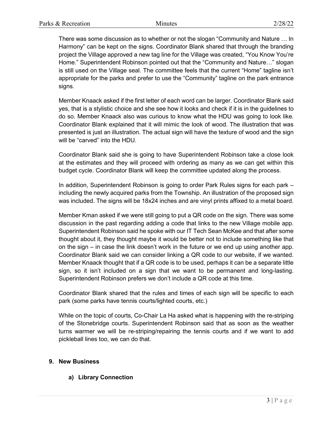There was some discussion as to whether or not the slogan "Community and Nature … In Harmony" can be kept on the signs. Coordinator Blank shared that through the branding project the Village approved a new tag line for the Village was created, "You Know You're Home." Superintendent Robinson pointed out that the "Community and Nature…" slogan is still used on the Village seal. The committee feels that the current "Home" tagline isn't appropriate for the parks and prefer to use the "Community" tagline on the park entrance signs.

Member Knaack asked if the first letter of each word can be larger. Coordinator Blank said yes, that is a stylistic choice and she see how it looks and check if it is in the guidelines to do so. Member Knaack also was curious to know what the HDU was going to look like. Coordinator Blank explained that it will mimic the look of wood. The illustration that was presented is just an illustration. The actual sign will have the texture of wood and the sign will be "carved" into the HDU.

Coordinator Blank said she is going to have Superintendent Robinson take a close look at the estimates and they will proceed with ordering as many as we can get within this budget cycle. Coordinator Blank will keep the committee updated along the process.

In addition, Superintendent Robinson is going to order Park Rules signs for each park – including the newly acquired parks from the Township. An illustration of the proposed sign was included. The signs will be 18x24 inches and are vinyl prints affixed to a metal board.

Member Kman asked if we were still going to put a QR code on the sign. There was some discussion in the past regarding adding a code that links to the new Village mobile app. Superintendent Robinson said he spoke with our IT Tech Sean McKee and that after some thought about it, they thought maybe it would be better not to include something like that on the sign – in case the link doesn't work in the future or we end up using another app. Coordinator Blank said we can consider linking a QR code to our website, if we wanted. Member Knaack thought that if a QR code is to be used, perhaps it can be a separate little sign, so it isn't included on a sign that we want to be permanent and long-lasting. Superintendent Robinson prefers we don't include a QR code at this time.

Coordinator Blank shared that the rules and times of each sign will be specific to each park (some parks have tennis courts/lighted courts, etc.)

While on the topic of courts, Co-Chair La Ha asked what is happening with the re-striping of the Stonebridge courts. Superintendent Robinson said that as soon as the weather turns warmer we will be re-striping/repairing the tennis courts and if we want to add pickleball lines too, we can do that.

# **9. New Business**

# **a) Library Connection**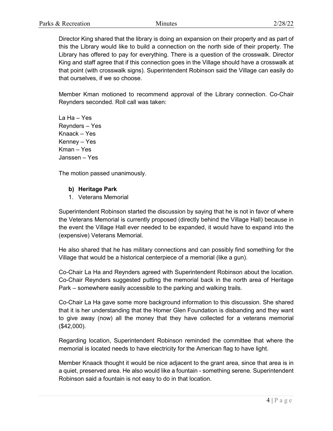Director King shared that the library is doing an expansion on their property and as part of this the Library would like to build a connection on the north side of their property. The Library has offered to pay for everything. There is a question of the crosswalk. Director King and staff agree that if this connection goes in the Village should have a crosswalk at that point (with crosswalk signs). Superintendent Robinson said the Village can easily do that ourselves, if we so choose.

Member Kman motioned to recommend approval of the Library connection. Co-Chair Reynders seconded. Roll call was taken:

La Ha – Yes Reynders – Yes Knaack – Yes Kenney – Yes Kman – Yes Janssen – Yes

The motion passed unanimously.

## **b) Heritage Park**

1. Veterans Memorial

Superintendent Robinson started the discussion by saying that he is not in favor of where the Veterans Memorial is currently proposed (directly behind the Village Hall) because in the event the Village Hall ever needed to be expanded, it would have to expand into the (expensive) Veterans Memorial.

He also shared that he has military connections and can possibly find something for the Village that would be a historical centerpiece of a memorial (like a gun).

Co-Chair La Ha and Reynders agreed with Superintendent Robinson about the location. Co-Chair Reynders suggested putting the memorial back in the north area of Heritage Park – somewhere easily accessible to the parking and walking trails.

Co-Chair La Ha gave some more background information to this discussion. She shared that it is her understanding that the Homer Glen Foundation is disbanding and they want to give away (now) all the money that they have collected for a veterans memorial (\$42,000).

Regarding location, Superintendent Robinson reminded the committee that where the memorial is located needs to have electricity for the American flag to have light.

Member Knaack thought it would be nice adjacent to the grant area, since that area is in a quiet, preserved area. He also would like a fountain - something serene. Superintendent Robinson said a fountain is not easy to do in that location.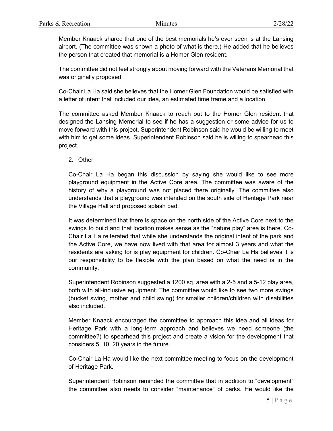Member Knaack shared that one of the best memorials he's ever seen is at the Lansing airport. (The committee was shown a photo of what is there.) He added that he believes the person that created that memorial is a Homer Glen resident.

The committee did not feel strongly about moving forward with the Veterans Memorial that was originally proposed.

Co-Chair La Ha said she believes that the Homer Glen Foundation would be satisfied with a letter of intent that included our idea, an estimated time frame and a location.

The committee asked Member Knaack to reach out to the Homer Glen resident that designed the Lansing Memorial to see if he has a suggestion or some advice for us to move forward with this project. Superintendent Robinson said he would be willing to meet with him to get some ideas. Superintendent Robinson said he is willing to spearhead this project.

2. Other

Co-Chair La Ha began this discussion by saying she would like to see more playground equipment in the Active Core area. The committee was aware of the history of why a playground was not placed there originally. The committee also understands that a playground was intended on the south side of Heritage Park near the Village Hall and proposed splash pad.

It was determined that there is space on the north side of the Active Core next to the swings to build and that location makes sense as the "nature play" area is there. Co-Chair La Ha reiterated that while she understands the original intent of the park and the Active Core, we have now lived with that area for almost 3 years and what the residents are asking for is play equipment for children. Co-Chair La Ha believes it is our responsibility to be flexible with the plan based on what the need is in the community.

Superintendent Robinson suggested a 1200 sq. area with a 2-5 and a 5-12 play area, both with all-inclusive equipment. The committee would like to see two more swings (bucket swing, mother and child swing) for smaller children/children with disabilities also included.

Member Knaack encouraged the committee to approach this idea and all ideas for Heritage Park with a long-term approach and believes we need someone (the committee?) to spearhead this project and create a vision for the development that considers 5, 10, 20 years in the future.

Co-Chair La Ha would like the next committee meeting to focus on the development of Heritage Park.

Superintendent Robinson reminded the committee that in addition to "development" the committee also needs to consider "maintenance" of parks. He would like the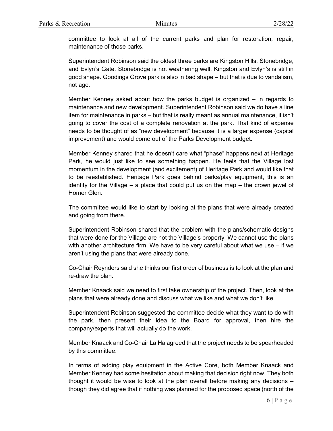committee to look at all of the current parks and plan for restoration, repair, maintenance of those parks.

Superintendent Robinson said the oldest three parks are Kingston Hills, Stonebridge, and Evlyn's Gate. Stonebridge is not weathering well. Kingston and Evlyn's is still in good shape. Goodings Grove park is also in bad shape – but that is due to vandalism, not age.

Member Kenney asked about how the parks budget is organized – in regards to maintenance and new development. Superintendent Robinson said we do have a line item for maintenance in parks – but that is really meant as annual maintenance, it isn't going to cover the cost of a complete renovation at the park. That kind of expense needs to be thought of as "new development" because it is a larger expense (capital improvement) and would come out of the Parks Development budget.

Member Kenney shared that he doesn't care what "phase" happens next at Heritage Park, he would just like to see something happen. He feels that the Village lost momentum in the development (and excitement) of Heritage Park and would like that to be reestablished. Heritage Park goes behind parks/play equipment, this is an identity for the Village – a place that could put us on the map – the crown jewel of Homer Glen.

The committee would like to start by looking at the plans that were already created and going from there.

Superintendent Robinson shared that the problem with the plans/schematic designs that were done for the Village are not the Village's property. We cannot use the plans with another architecture firm. We have to be very careful about what we use – if we aren't using the plans that were already done.

Co-Chair Reynders said she thinks our first order of business is to look at the plan and re-draw the plan.

Member Knaack said we need to first take ownership of the project. Then, look at the plans that were already done and discuss what we like and what we don't like.

Superintendent Robinson suggested the committee decide what they want to do with the park, then present their idea to the Board for approval, then hire the company/experts that will actually do the work.

Member Knaack and Co-Chair La Ha agreed that the project needs to be spearheaded by this committee.

In terms of adding play equipment in the Active Core, both Member Knaack and Member Kenney had some hesitation about making that decision right now. They both thought it would be wise to look at the plan overall before making any decisions – though they did agree that if nothing was planned for the proposed space (north of the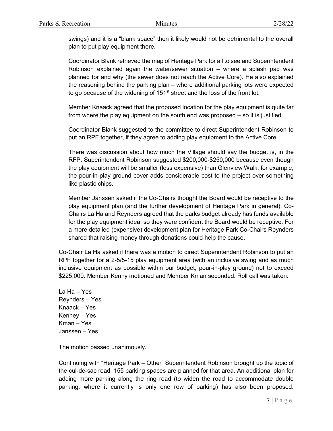swings) and it is a "blank space" then it likely would not be detrimental to the overall plan to put play equipment there.

Coordinator Blank retrieved the map of Heritage Park for all to see and Superintendent Robinson explained again the water/sewer situation – where a splash pad was planned for and why (the sewer does not reach the Active Core). He also explained the reasoning behind the parking plan – where additional parking lots were expected to go because of the widening of 151<sup>st</sup> street and the loss of the front lot.

Member Knaack agreed that the proposed location for the play equipment is quite far from where the play equipment on the south end was proposed – so it is justified.

Coordinator Blank suggested to the committee to direct Superintendent Robinson to put an RPF together, if they agree to adding play equipment to the Active Core.

There was discussion about how much the Village should say the budget is, in the RFP. Superintendent Robinson suggested \$200,000-\$250,000 because even though the play equipment will be smaller (less expensive) than Glenview Walk, for example, the pour-in-play ground cover adds considerable cost to the project over something like plastic chips.

Member Janssen asked if the Co-Chairs thought the Board would be receptive to the play equipment plan (and the further development of Heritage Park in general). Co-Chairs La Ha and Reynders agreed that the parks budget already has funds available for the play equipment idea, so they were confident the Board would be receptive. For a more detailed (expensive) development plan for Heritage Park Co-Chairs Reynders shared that raising money through donations could help the cause.

Co-Chair La Ha asked if there was a motion to direct Superintendent Robinson to put an RPF together for a 2-5/5-15 play equipment area (with an inclusive swing and as much inclusive equipment as possible within our budget; pour-in-play ground) not to exceed \$225,000. Member Kenny motioned and Member Kman seconded. Roll call was taken:

La Ha – Yes Reynders – Yes Knaack – Yes Kenney – Yes Kman – Yes Janssen – Yes

The motion passed unanimously.

Continuing with "Heritage Park – Other" Superintendent Robinson brought up the topic of the cul-de-sac road. 155 parking spaces are planned for that area. An additional plan for adding more parking along the ring road (to widen the road to accommodate double parking, where it currently is only one row of parking) has also been proposed.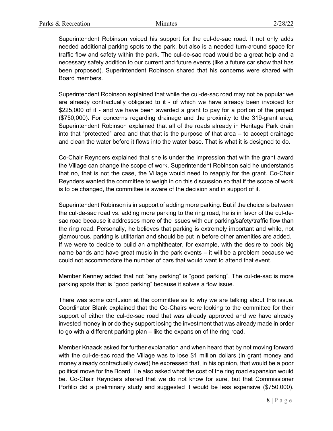Superintendent Robinson voiced his support for the cul-de-sac road. It not only adds needed additional parking spots to the park, but also is a needed turn-around space for traffic flow and safety within the park. The cul-de-sac road would be a great help and a necessary safety addition to our current and future events (like a future car show that has been proposed). Superintendent Robinson shared that his concerns were shared with Board members.

Superintendent Robinson explained that while the cul-de-sac road may not be popular we are already contractually obligated to it - of which we have already been invoiced for \$225,000 of it - and we have been awarded a grant to pay for a portion of the project (\$750,000). For concerns regarding drainage and the proximity to the 319-grant area, Superintendent Robinson explained that all of the roads already in Heritage Park drain into that "protected" area and that that is the purpose of that area – to accept drainage and clean the water before it flows into the water base. That is what it is designed to do.

Co-Chair Reynders explained that she is under the impression that with the grant award the Village can change the scope of work. Superintendent Robinson said he understands that no, that is not the case, the Village would need to reapply for the grant. Co-Chair Reynders wanted the committee to weigh in on this discussion so that if the scope of work is to be changed, the committee is aware of the decision and in support of it.

Superintendent Robinson is in support of adding more parking. But if the choice is between the cul-de-sac road vs. adding more parking to the ring road, he is in favor of the cul-desac road because it addresses more of the issues with our parking/safety/traffic flow than the ring road. Personally, he believes that parking is extremely important and while, not glamourous, parking is utilitarian and should be put in before other amenities are added. If we were to decide to build an amphitheater, for example, with the desire to book big name bands and have great music in the park events – it will be a problem because we could not accommodate the number of cars that would want to attend that event.

Member Kenney added that not "any parking" is "good parking". The cul-de-sac is more parking spots that is "good parking" because it solves a flow issue.

There was some confusion at the committee as to why we are talking about this issue. Coordinator Blank explained that the Co-Chairs were looking to the committee for their support of either the cul-de-sac road that was already approved and we have already invested money in or do they support losing the investment that was already made in order to go with a different parking plan – like the expansion of the ring road.

Member Knaack asked for further explanation and when heard that by not moving forward with the cul-de-sac road the Village was to lose \$1 million dollars (in grant money and money already contractually owed) he expressed that, in his opinion, that would be a poor political move for the Board. He also asked what the cost of the ring road expansion would be. Co-Chair Reynders shared that we do not know for sure, but that Commissioner Porfilio did a preliminary study and suggested it would be less expensive (\$750,000).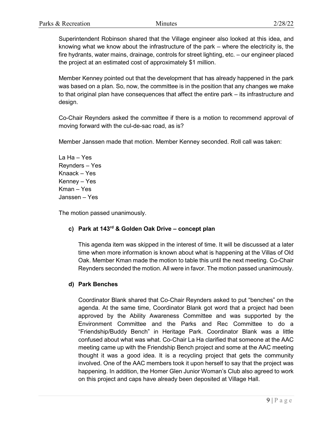Superintendent Robinson shared that the Village engineer also looked at this idea, and knowing what we know about the infrastructure of the park – where the electricity is, the fire hydrants, water mains, drainage, controls for street lighting, etc. – our engineer placed the project at an estimated cost of approximately \$1 million.

Member Kenney pointed out that the development that has already happened in the park was based on a plan. So, now, the committee is in the position that any changes we make to that original plan have consequences that affect the entire park – its infrastructure and design.

Co-Chair Reynders asked the committee if there is a motion to recommend approval of moving forward with the cul-de-sac road, as is?

Member Janssen made that motion. Member Kenney seconded. Roll call was taken:

La Ha – Yes Reynders – Yes Knaack – Yes Kenney – Yes Kman – Yes Janssen – Yes

The motion passed unanimously.

# **c) Park at 143rd & Golden Oak Drive – concept plan**

This agenda item was skipped in the interest of time. It will be discussed at a later time when more information is known about what is happening at the Villas of Old Oak. Member Kman made the motion to table this until the next meeting. Co-Chair Reynders seconded the motion. All were in favor. The motion passed unanimously.

# **d) Park Benches**

Coordinator Blank shared that Co-Chair Reynders asked to put "benches" on the agenda. At the same time, Coordinator Blank got word that a project had been approved by the Ability Awareness Committee and was supported by the Environment Committee and the Parks and Rec Committee to do a "Friendship/Buddy Bench" in Heritage Park. Coordinator Blank was a little confused about what was what. Co-Chair La Ha clarified that someone at the AAC meeting came up with the Friendship Bench project and some at the AAC meeting thought it was a good idea. It is a recycling project that gets the community involved. One of the AAC members took it upon herself to say that the project was happening. In addition, the Homer Glen Junior Woman's Club also agreed to work on this project and caps have already been deposited at Village Hall.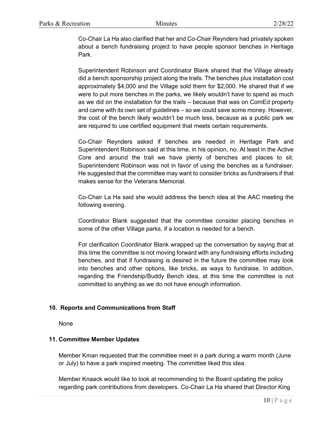Co-Chair La Ha also clarified that her and Co-Chair Reynders had privately spoken about a bench fundraising project to have people sponsor benches in Heritage Park.

Superintendent Robinson and Coordinator Blank shared that the Village already did a bench sponsorship project along the trails. The benches plus installation cost approximately \$4,000 and the Village sold them for \$2,000. He shared that if we were to put more benches in the parks, we likely wouldn't have to spend as much as we did on the installation for the trails – because that was on ComEd property and came with its own set of guidelines – so we could save some money. However, the cost of the bench likely wouldn't be much less, because as a public park we are required to use certified equipment that meets certain requirements.

Co-Chair Reynders asked if benches are needed in Heritage Park and Superintendent Robinson said at this time, in his opinion, no. At least in the Active Core and around the trail we have plenty of benches and places to sit. Superintendent Robinson was not in favor of using the benches as a fundraiser. He suggested that the committee may want to consider bricks as fundraisers if that makes sense for the Veterans Memorial.

Co-Chair La Ha said she would address the bench idea at the AAC meeting the following evening.

Coordinator Blank suggested that the committee consider placing benches in some of the other Village parks, if a location is needed for a bench.

For clarification Coordinator Blank wrapped up the conversation by saying that at this time the committee is not moving forward with any fundraising efforts including benches, and that if fundraising is desired in the future the committee may look into benches and other options, like bricks, as ways to fundraise. In addition, regarding the Friendship/Buddy Bench idea, at this time the committee is not committed to anything as we do not have enough information.

# **10. Reports and Communications from Staff**

None

#### **11. Committee Member Updates**

Member Kman requested that the committee meet in a park during a warm month (June or July) to have a park inspired meeting. The committee liked this idea.

Member Knaack would like to look at recommending to the Board updating the policy regarding park contributions from developers. Co-Chair La Ha shared that Director King